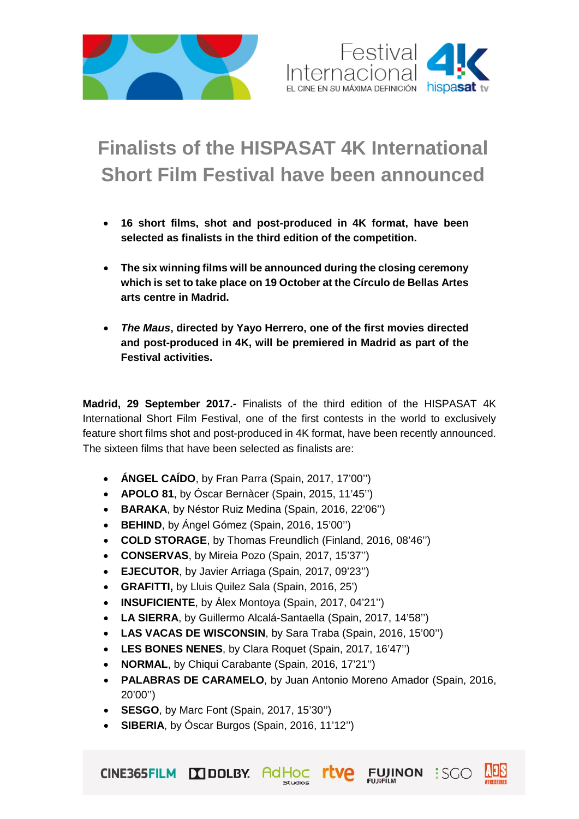



## **Finalists of the HISPASAT 4K International Short Film Festival have been announced**

- **16 short films, shot and post-produced in 4K format, have been selected as finalists in the third edition of the competition.**
- **The six winning films will be announced during the closing ceremony which is set to take place on 19 October at the Círculo de Bellas Artes arts centre in Madrid.**
- *The Maus***, directed by Yayo Herrero, one of the first movies directed and post-produced in 4K, will be premiered in Madrid as part of the Festival activities.**

**Madrid, 29 September 2017.-** Finalists of the third edition of the HISPASAT 4K International Short Film Festival, one of the first contests in the world to exclusively feature short films shot and post-produced in 4K format, have been recently announced. The sixteen films that have been selected as finalists are:

- **ÁNGEL CAÍDO**, by Fran Parra (Spain, 2017, 17'00'')
- **APOLO 81**, by Óscar Bernàcer (Spain, 2015, 11'45'')
- **BARAKA**, by Néstor Ruiz Medina (Spain, 2016, 22'06'')
- **BEHIND**, by Ángel Gómez (Spain, 2016, 15'00'')
- **COLD STORAGE**, by Thomas Freundlich (Finland, 2016, 08'46'')
- **CONSERVAS**, by Mireia Pozo (Spain, 2017, 15'37'')
- **EJECUTOR**, by Javier Arriaga (Spain, 2017, 09'23'')
- **GRAFITTI,** by Lluis Quilez Sala (Spain, 2016, 25')
- **INSUFICIENTE**, by Álex Montoya (Spain, 2017, 04'21'')
- **LA SIERRA**, by Guillermo Alcalá-Santaella (Spain, 2017, 14'58'')
- **LAS VACAS DE WISCONSIN**, by Sara Traba (Spain, 2016, 15'00'')
- **LES BONES NENES**, by Clara Roquet (Spain, 2017, 16'47'')
- **NORMAL**, by Chiqui Carabante (Spain, 2016, 17'21'')
- **PALABRAS DE CARAMELO**, by Juan Antonio Moreno Amador (Spain, 2016, 20'00'')

Studios

**rtve** 

FUJINON : SCO

• **SESGO**, by Marc Font (Spain, 2017, 15'30'')

CINE365FILM DODLBY. AdHOC

• **SIBERIA**, by Óscar Burgos (Spain, 2016, 11'12'')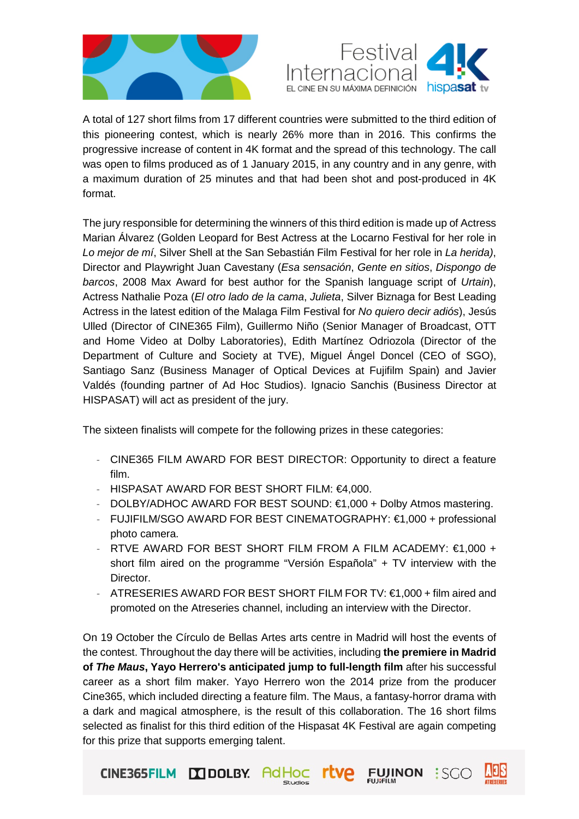



A total of 127 short films from 17 different countries were submitted to the third edition of this pioneering contest, which is nearly 26% more than in 2016. This confirms the progressive increase of content in 4K format and the spread of this technology. The call was open to films produced as of 1 January 2015, in any country and in any genre, with a maximum duration of 25 minutes and that had been shot and post-produced in 4K format.

The jury responsible for determining the winners of this third edition is made up of Actress Marian Álvarez (Golden Leopard for Best Actress at the Locarno Festival for her role in *Lo mejor de mí*, Silver Shell at the San Sebastián Film Festival for her role in *La herida)*, Director and Playwright Juan Cavestany (*Esa sensación*, *Gente en sitios*, *Dispongo de barcos*, 2008 Max Award for best author for the Spanish language script of *Urtain*), Actress Nathalie Poza (*El otro lado de la cama*, *Julieta*, Silver Biznaga for Best Leading Actress in the latest edition of the Malaga Film Festival for *No quiero decir adiós*), Jesús Ulled (Director of CINE365 Film), Guillermo Niño (Senior Manager of Broadcast, OTT and Home Video at Dolby Laboratories), Edith Martínez Odriozola (Director of the Department of Culture and Society at TVE), Miguel Ángel Doncel (CEO of SGO), Santiago Sanz (Business Manager of Optical Devices at Fujifilm Spain) and Javier Valdés (founding partner of Ad Hoc Studios). Ignacio Sanchis (Business Director at HISPASAT) will act as president of the jury.

The sixteen finalists will compete for the following prizes in these categories:

- CINE365 FILM AWARD FOR BEST DIRECTOR: Opportunity to direct a feature film.
- HISPASAT AWARD FOR BEST SHORT FILM: €4,000.

CINE365FILM DODLBY. AdHOC

- DOLBY/ADHOC AWARD FOR BEST SOUND: €1,000 + Dolby Atmos mastering.
- FUJIFILM/SGO AWARD FOR BEST CINEMATOGRAPHY: €1,000 + professional photo camera.
- RTVE AWARD FOR BEST SHORT FILM FROM A FILM ACADEMY:  $\epsilon$ 1,000 + short film aired on the programme "Versión Española" + TV interview with the Director.
- ATRESERIES AWARD FOR BEST SHORT FILM FOR TV: €1,000 + film aired and promoted on the Atreseries channel, including an interview with the Director.

On 19 October the Círculo de Bellas Artes arts centre in Madrid will host the events of the contest. Throughout the day there will be activities, including **the premiere in Madrid of** *The Maus***, Yayo Herrero's anticipated jump to full-length film** after his successful career as a short film maker. Yayo Herrero won the 2014 prize from the producer Cine365, which included directing a feature film. The Maus, a fantasy-horror drama with a dark and magical atmosphere, is the result of this collaboration. The 16 short films selected as finalist for this third edition of the Hispasat 4K Festival are again competing for this prize that supports emerging talent.

Studios

**FUJINON** 

:SGO